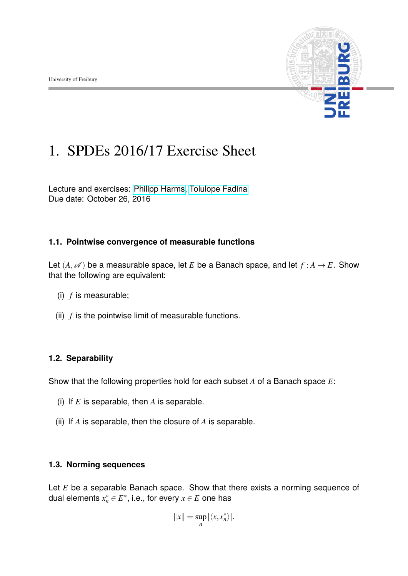

# 1. SPDEs 2016/17 Exercise Sheet

Lecture and exercises: [Philipp Harms,](philipp.harms@stochastik.uni-freiburg.de) [Tolulope Fadina](tolulope.fadina@stochastik.uni-freiburg.de) Due date: October 26, 2016

### **1.1. Pointwise convergence of measurable functions**

Let  $(A, \mathscr{A})$  be a measurable space, let *E* be a Banach space, and let  $f : A \to E$ . Show that the following are equivalent:

- (i) *f* is measurable;
- (ii)  $f$  is the pointwise limit of measurable functions.

## **1.2. Separability**

Show that the following properties hold for each subset *A* of a Banach space *E*:

- (i) If *E* is separable, then *A* is separable.
- (ii) If *A* is separable, then the closure of *A* is separable.

### **1.3. Norming sequences**

Let *E* be a separable Banach space. Show that there exists a norming sequence of dual elements  $x_n^* \in E^*$ , i.e., for every  $x \in E$  one has

$$
||x|| = \sup_n |\langle x, x_n^* \rangle|.
$$